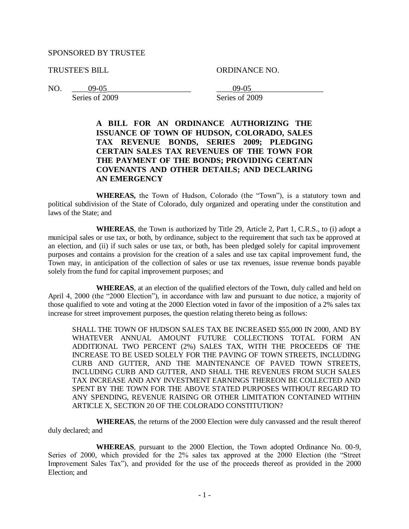## SPONSORED BY TRUSTEE

TRUSTEE'S BILL ORDINANCE NO.

Series of 2009 Series of 2009

NO. \_\_\_\_09-05\_\_\_\_\_\_\_\_\_\_\_\_\_\_\_\_\_\_\_\_\_ \_\_\_\_09-05\_\_\_\_\_\_\_\_\_\_\_\_\_\_\_\_\_\_

# **A BILL FOR AN ORDINANCE AUTHORIZING THE ISSUANCE OF TOWN OF HUDSON, COLORADO, SALES TAX REVENUE BONDS, SERIES 2009; PLEDGING CERTAIN SALES TAX REVENUES OF THE TOWN FOR THE PAYMENT OF THE BONDS; PROVIDING CERTAIN COVENANTS AND OTHER DETAILS; AND DECLARING AN EMERGENCY**

**WHEREAS,** the Town of Hudson, Colorado (the "Town"), is a statutory town and political subdivision of the State of Colorado, duly organized and operating under the constitution and laws of the State; and

**WHEREAS**, the Town is authorized by Title 29, Article 2, Part 1, C.R.S., to (i) adopt a municipal sales or use tax, or both, by ordinance, subject to the requirement that such tax be approved at an election, and (ii) if such sales or use tax, or both, has been pledged solely for capital improvement purposes and contains a provision for the creation of a sales and use tax capital improvement fund, the Town may, in anticipation of the collection of sales or use tax revenues, issue revenue bonds payable solely from the fund for capital improvement purposes; and

**WHEREAS**, at an election of the qualified electors of the Town, duly called and held on April 4, 2000 (the "2000 Election"), in accordance with law and pursuant to due notice, a majority of those qualified to vote and voting at the 2000 Election voted in favor of the imposition of a 2% sales tax increase for street improvement purposes, the question relating thereto being as follows:

SHALL THE TOWN OF HUDSON SALES TAX BE INCREASED \$55,000 IN 2000, AND BY WHATEVER ANNUAL AMOUNT FUTURE COLLECTIONS TOTAL FORM AN ADDITIONAL TWO PERCENT (2%) SALES TAX, WITH THE PROCEEDS OF THE INCREASE TO BE USED SOLELY FOR THE PAVING OF TOWN STREETS, INCLUDING CURB AND GUTTER, AND THE MAINTENANCE OF PAVED TOWN STREETS, INCLUDING CURB AND GUTTER, AND SHALL THE REVENUES FROM SUCH SALES TAX INCREASE AND ANY INVESTMENT EARNINGS THEREON BE COLLECTED AND SPENT BY THE TOWN FOR THE ABOVE STATED PURPOSES WITHOUT REGARD TO ANY SPENDING, REVENUE RAISING OR OTHER LIMITATION CONTAINED WITHIN ARTICLE X, SECTION 20 OF THE COLORADO CONSTITUTION?

**WHEREAS**, the returns of the 2000 Election were duly canvassed and the result thereof duly declared; and

**WHEREAS**, pursuant to the 2000 Election, the Town adopted Ordinance No. 00-9, Series of 2000, which provided for the 2% sales tax approved at the 2000 Election (the "Street Improvement Sales Tax"), and provided for the use of the proceeds thereof as provided in the 2000 Election; and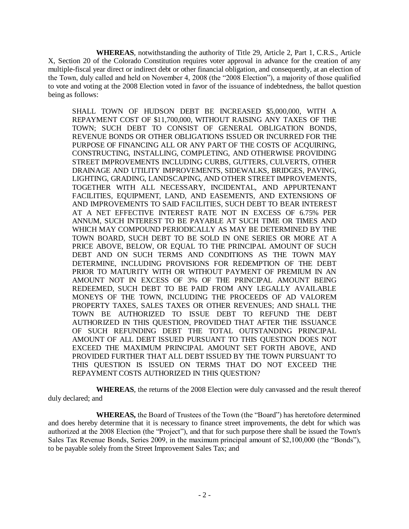**WHEREAS**, notwithstanding the authority of Title 29, Article 2, Part 1, C.R.S., Article X, Section 20 of the Colorado Constitution requires voter approval in advance for the creation of any multiple-fiscal year direct or indirect debt or other financial obligation, and consequently, at an election of the Town, duly called and held on November 4, 2008 (the "2008 Election"), a majority of those qualified to vote and voting at the 2008 Election voted in favor of the issuance of indebtedness, the ballot question being as follows:

SHALL TOWN OF HUDSON DEBT BE INCREASED \$5,000,000, WITH A REPAYMENT COST OF \$11,700,000, WITHOUT RAISING ANY TAXES OF THE TOWN; SUCH DEBT TO CONSIST OF GENERAL OBLIGATION BONDS, REVENUE BONDS OR OTHER OBLIGATIONS ISSUED OR INCURRED FOR THE PURPOSE OF FINANCING ALL OR ANY PART OF THE COSTS OF ACQUIRING, CONSTRUCTING, INSTALLING, COMPLETING, AND OTHERWISE PROVIDING STREET IMPROVEMENTS INCLUDING CURBS, GUTTERS, CULVERTS, OTHER DRAINAGE AND UTILITY IMPROVEMENTS, SIDEWALKS, BRIDGES, PAVING, LIGHTING, GRADING, LANDSCAPING, AND OTHER STREET IMPROVEMENTS, TOGETHER WITH ALL NECESSARY, INCIDENTAL, AND APPURTENANT FACILITIES, EQUIPMENT, LAND, AND EASEMENTS, AND EXTENSIONS OF AND IMPROVEMENTS TO SAID FACILITIES, SUCH DEBT TO BEAR INTEREST AT A NET EFFECTIVE INTEREST RATE NOT IN EXCESS OF 6.75% PER ANNUM, SUCH INTEREST TO BE PAYABLE AT SUCH TIME OR TIMES AND WHICH MAY COMPOUND PERIODICALLY AS MAY BE DETERMINED BY THE TOWN BOARD, SUCH DEBT TO BE SOLD IN ONE SERIES OR MORE AT A PRICE ABOVE, BELOW, OR EQUAL TO THE PRINCIPAL AMOUNT OF SUCH DEBT AND ON SUCH TERMS AND CONDITIONS AS THE TOWN MAY DETERMINE, INCLUDING PROVISIONS FOR REDEMPTION OF THE DEBT PRIOR TO MATURITY WITH OR WITHOUT PAYMENT OF PREMIUM IN AN AMOUNT NOT IN EXCESS OF 3% OF THE PRINCIPAL AMOUNT BEING REDEEMED, SUCH DEBT TO BE PAID FROM ANY LEGALLY AVAILABLE MONEYS OF THE TOWN, INCLUDING THE PROCEEDS OF AD VALOREM PROPERTY TAXES, SALES TAXES OR OTHER REVENUES; AND SHALL THE TOWN BE AUTHORIZED TO ISSUE DEBT TO REFUND THE DEBT AUTHORIZED IN THIS QUESTION, PROVIDED THAT AFTER THE ISSUANCE OF SUCH REFUNDING DEBT THE TOTAL OUTSTANDING PRINCIPAL AMOUNT OF ALL DEBT ISSUED PURSUANT TO THIS QUESTION DOES NOT EXCEED THE MAXIMUM PRINCIPAL AMOUNT SET FORTH ABOVE, AND PROVIDED FURTHER THAT ALL DEBT ISSUED BY THE TOWN PURSUANT TO THIS QUESTION IS ISSUED ON TERMS THAT DO NOT EXCEED THE REPAYMENT COSTS AUTHORIZED IN THIS QUESTION?

**WHEREAS**, the returns of the 2008 Election were duly canvassed and the result thereof duly declared; and

**WHEREAS,** the Board of Trustees of the Town (the "Board") has heretofore determined and does hereby determine that it is necessary to finance street improvements, the debt for which was authorized at the 2008 Election (the "Project"), and that for such purpose there shall be issued the Town's Sales Tax Revenue Bonds, Series 2009, in the maximum principal amount of \$2,100,000 (the "Bonds"), to be payable solely from the Street Improvement Sales Tax; and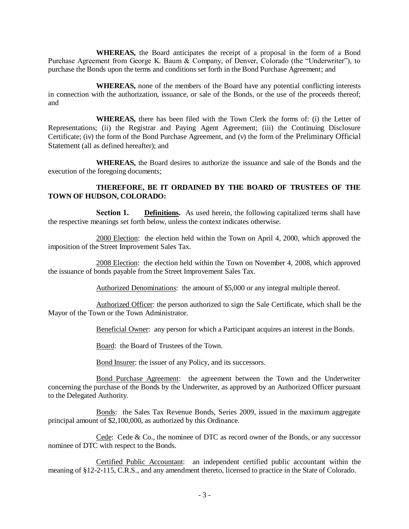**WHEREAS,** the Board anticipates the receipt of a proposal in the form of a Bond Purchase Agreement from George K. Baum & Company, of Denver, Colorado (the "Underwriter"), to purchase the Bonds upon the terms and conditions set forth in the Bond Purchase Agreement; and

**WHEREAS,** none of the members of the Board have any potential conflicting interests in connection with the authorization, issuance, or sale of the Bonds, or the use of the proceeds thereof; and

**WHEREAS,** there has been filed with the Town Clerk the forms of: (i) the Letter of Representations; (ii) the Registrar and Paying Agent Agreement; (iii) the Continuing Disclosure Certificate; (iv) the form of the Bond Purchase Agreement, and (v) the form of the Preliminary Official Statement (all as defined hereafter); and

**WHEREAS,** the Board desires to authorize the issuance and sale of the Bonds and the execution of the foregoing documents;

## **THEREFORE, BE IT ORDAINED BY THE BOARD OF TRUSTEES OF THE TOWN OF HUDSON, COLORADO:**

**Section 1. Definitions.** As used herein, the following capitalized terms shall have the respective meanings set forth below, unless the context indicates otherwise.

2000 Election: the election held within the Town on April 4, 2000, which approved the imposition of the Street Improvement Sales Tax.

2008 Election: the election held within the Town on November 4, 2008, which approved the issuance of bonds payable from the Street Improvement Sales Tax.

Authorized Denominations: the amount of \$5,000 or any integral multiple thereof.

Authorized Officer: the person authorized to sign the Sale Certificate, which shall be the Mayor of the Town or the Town Administrator.

Beneficial Owner: any person for which a Participant acquires an interest in the Bonds.

Board: the Board of Trustees of the Town.

Bond Insurer: the issuer of any Policy, and its successors.

Bond Purchase Agreement: the agreement between the Town and the Underwriter concerning the purchase of the Bonds by the Underwriter, as approved by an Authorized Officer pursuant to the Delegated Authority.

Bonds: the Sales Tax Revenue Bonds, Series 2009, issued in the maximum aggregate principal amount of \$2,100,000, as authorized by this Ordinance.

Cede: Cede & Co., the nominee of DTC as record owner of the Bonds, or any successor nominee of DTC with respect to the Bonds.

Certified Public Accountant: an independent certified public accountant within the meaning of §12-2-115, C.R.S., and any amendment thereto, licensed to practice in the State of Colorado.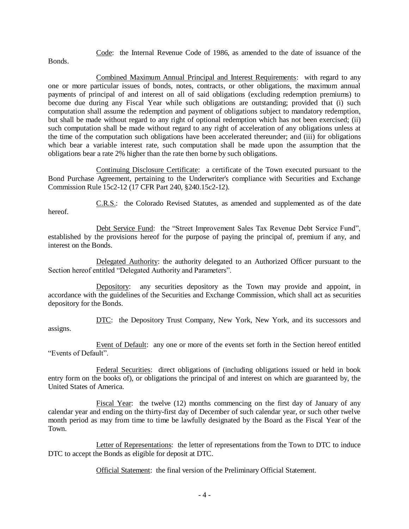Code: the Internal Revenue Code of 1986, as amended to the date of issuance of the

Bonds.

Combined Maximum Annual Principal and Interest Requirements: with regard to any one or more particular issues of bonds, notes, contracts, or other obligations, the maximum annual payments of principal of and interest on all of said obligations (excluding redemption premiums) to become due during any Fiscal Year while such obligations are outstanding; provided that (i) such computation shall assume the redemption and payment of obligations subject to mandatory redemption, but shall be made without regard to any right of optional redemption which has not been exercised; (ii) such computation shall be made without regard to any right of acceleration of any obligations unless at the time of the computation such obligations have been accelerated thereunder; and (iii) for obligations which bear a variable interest rate, such computation shall be made upon the assumption that the obligations bear a rate 2% higher than the rate then borne by such obligations.

Continuing Disclosure Certificate: a certificate of the Town executed pursuant to the Bond Purchase Agreement, pertaining to the Underwriter's compliance with Securities and Exchange Commission Rule 15c2-12 (17 CFR Part 240, §240.15c2-12).

hereof.

C.R.S.: the Colorado Revised Statutes, as amended and supplemented as of the date

Debt Service Fund: the "Street Improvement Sales Tax Revenue Debt Service Fund", established by the provisions hereof for the purpose of paying the principal of, premium if any, and interest on the Bonds.

Delegated Authority: the authority delegated to an Authorized Officer pursuant to the Section hereof entitled "Delegated Authority and Parameters".

Depository: any securities depository as the Town may provide and appoint, in accordance with the guidelines of the Securities and Exchange Commission, which shall act as securities depository for the Bonds.

DTC: the Depository Trust Company, New York, New York, and its successors and assigns.

Event of Default: any one or more of the events set forth in the Section hereof entitled "Events of Default".

Federal Securities: direct obligations of (including obligations issued or held in book entry form on the books of), or obligations the principal of and interest on which are guaranteed by, the United States of America.

Fiscal Year: the twelve (12) months commencing on the first day of January of any calendar year and ending on the thirty-first day of December of such calendar year, or such other twelve month period as may from time to time be lawfully designated by the Board as the Fiscal Year of the Town.

Letter of Representations: the letter of representations from the Town to DTC to induce DTC to accept the Bonds as eligible for deposit at DTC.

Official Statement: the final version of the Preliminary Official Statement.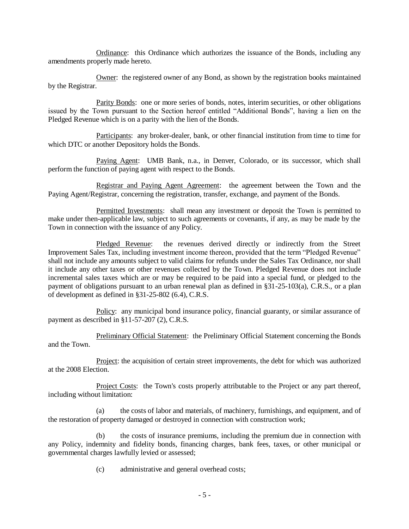Ordinance: this Ordinance which authorizes the issuance of the Bonds, including any amendments properly made hereto.

Owner: the registered owner of any Bond, as shown by the registration books maintained by the Registrar.

Parity Bonds: one or more series of bonds, notes, interim securities, or other obligations issued by the Town pursuant to the Section hereof entitled "Additional Bonds", having a lien on the Pledged Revenue which is on a parity with the lien of the Bonds.

Participants: any broker-dealer, bank, or other financial institution from time to time for which DTC or another Depository holds the Bonds.

Paying Agent: UMB Bank, n.a., in Denver, Colorado, or its successor, which shall perform the function of paying agent with respect to the Bonds.

Registrar and Paying Agent Agreement: the agreement between the Town and the Paying Agent/Registrar, concerning the registration, transfer, exchange, and payment of the Bonds.

Permitted Investments: shall mean any investment or deposit the Town is permitted to make under then-applicable law, subject to such agreements or covenants, if any, as may be made by the Town in connection with the issuance of any Policy.

Pledged Revenue: the revenues derived directly or indirectly from the Street Improvement Sales Tax, including investment income thereon, provided that the term "Pledged Revenue" shall not include any amounts subject to valid claims for refunds under the Sales Tax Ordinance, nor shall it include any other taxes or other revenues collected by the Town. Pledged Revenue does not include incremental sales taxes which are or may be required to be paid into a special fund, or pledged to the payment of obligations pursuant to an urban renewal plan as defined in §31-25-103(a), C.R.S., or a plan of development as defined in §31-25-802 (6.4), C.R.S.

Policy: any municipal bond insurance policy, financial guaranty, or similar assurance of payment as described in §11-57-207 (2), C.R.S.

Preliminary Official Statement: the Preliminary Official Statement concerning the Bonds and the Town.

Project: the acquisition of certain street improvements, the debt for which was authorized at the 2008 Election.

Project Costs: the Town's costs properly attributable to the Project or any part thereof, including without limitation:

(a) the costs of labor and materials, of machinery, furnishings, and equipment, and of the restoration of property damaged or destroyed in connection with construction work;

(b) the costs of insurance premiums, including the premium due in connection with any Policy, indemnity and fidelity bonds, financing charges, bank fees, taxes, or other municipal or governmental charges lawfully levied or assessed;

(c) administrative and general overhead costs;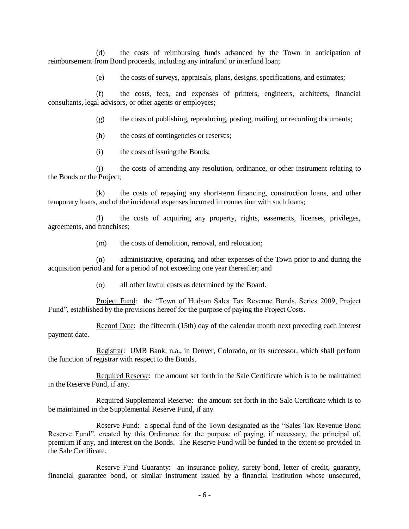(d) the costs of reimbursing funds advanced by the Town in anticipation of reimbursement from Bond proceeds, including any intrafund or interfund loan;

(e) the costs of surveys, appraisals, plans, designs, specifications, and estimates;

(f) the costs, fees, and expenses of printers, engineers, architects, financial consultants, legal advisors, or other agents or employees;

(g) the costs of publishing, reproducing, posting, mailing, or recording documents;

(h) the costs of contingencies or reserves;

(i) the costs of issuing the Bonds;

(j) the costs of amending any resolution, ordinance, or other instrument relating to the Bonds or the Project;

(k) the costs of repaying any short-term financing, construction loans, and other temporary loans, and of the incidental expenses incurred in connection with such loans;

(l) the costs of acquiring any property, rights, easements, licenses, privileges, agreements, and franchises;

(m) the costs of demolition, removal, and relocation;

(n) administrative, operating, and other expenses of the Town prior to and during the acquisition period and for a period of not exceeding one year thereafter; and

(o) all other lawful costs as determined by the Board.

Project Fund: the "Town of Hudson Sales Tax Revenue Bonds, Series 2009, Project Fund", established by the provisions hereof for the purpose of paying the Project Costs.

Record Date: the fifteenth (15th) day of the calendar month next preceding each interest payment date.

Registrar: UMB Bank, n.a., in Denver, Colorado, or its successor, which shall perform the function of registrar with respect to the Bonds.

Required Reserve: the amount set forth in the Sale Certificate which is to be maintained in the Reserve Fund, if any.

Required Supplemental Reserve: the amount set forth in the Sale Certificate which is to be maintained in the Supplemental Reserve Fund, if any.

Reserve Fund: a special fund of the Town designated as the "Sales Tax Revenue Bond Reserve Fund", created by this Ordinance for the purpose of paying, if necessary, the principal of, premium if any, and interest on the Bonds. The Reserve Fund will be funded to the extent so provided in the Sale Certificate.

Reserve Fund Guaranty: an insurance policy, surety bond, letter of credit, guaranty, financial guarantee bond, or similar instrument issued by a financial institution whose unsecured,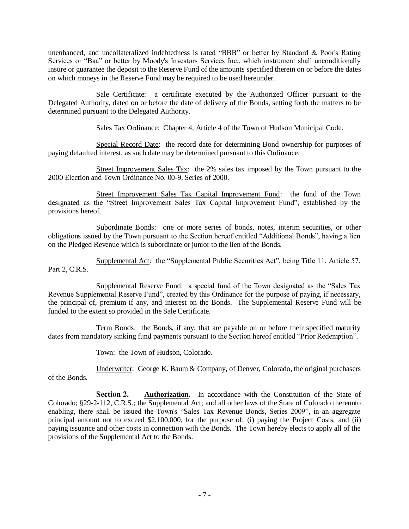unenhanced, and uncollateralized indebtedness is rated "BBB" or better by Standard & Poor's Rating Services or "Baa" or better by Moody's Investors Services Inc., which instrument shall unconditionally insure or guarantee the deposit to the Reserve Fund of the amounts specified therein on or before the dates on which moneys in the Reserve Fund may be required to be used hereunder.

Sale Certificate: a certificate executed by the Authorized Officer pursuant to the Delegated Authority, dated on or before the date of delivery of the Bonds, setting forth the matters to be determined pursuant to the Delegated Authority.

Sales Tax Ordinance: Chapter 4, Article 4 of the Town of Hudson Municipal Code.

Special Record Date: the record date for determining Bond ownership for purposes of paying defaulted interest, as such date may be determined pursuant to this Ordinance.

Street Improvement Sales Tax: the 2% sales tax imposed by the Town pursuant to the 2000 Election and Town Ordinance No. 00-9, Series of 2000.

Street Improvement Sales Tax Capital Improvement Fund: the fund of the Town designated as the "Street Improvement Sales Tax Capital Improvement Fund", established by the provisions hereof.

Subordinate Bonds: one or more series of bonds, notes, interim securities, or other obligations issued by the Town pursuant to the Section hereof entitled "Additional Bonds", having a lien on the Pledged Revenue which is subordinate or junior to the lien of the Bonds.

Supplemental Act: the "Supplemental Public Securities Act", being Title 11, Article 57, Part 2, C.R.S.

Supplemental Reserve Fund: a special fund of the Town designated as the "Sales Tax Revenue Supplemental Reserve Fund", created by this Ordinance for the purpose of paying, if necessary, the principal of, premium if any, and interest on the Bonds. The Supplemental Reserve Fund will be funded to the extent so provided in the Sale Certificate.

Term Bonds: the Bonds, if any, that are payable on or before their specified maturity dates from mandatory sinking fund payments pursuant to the Section hereof entitled "Prior Redemption".

Town: the Town of Hudson, Colorado.

Underwriter: George K. Baum & Company, of Denver, Colorado, the original purchasers of the Bonds.

**Section 2. Authorization.** In accordance with the Constitution of the State of Colorado; §29-2-112, C.R.S.; the Supplemental Act; and all other laws of the State of Colorado thereunto enabling, there shall be issued the Town's "Sales Tax Revenue Bonds, Series 2009", in an aggregate principal amount not to exceed \$2,100,000, for the purpose of: (i) paying the Project Costs; and (ii) paying issuance and other costs in connection with the Bonds. The Town hereby elects to apply all of the provisions of the Supplemental Act to the Bonds.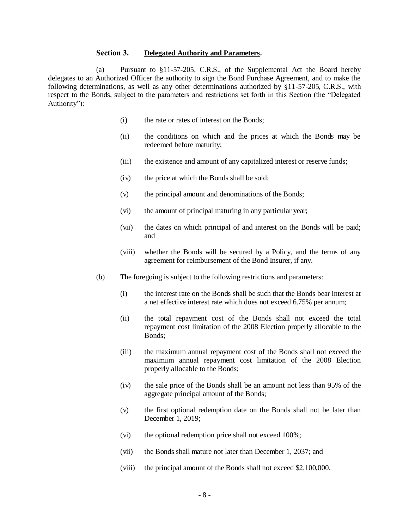## **Section 3. Delegated Authority and Parameters.**

(a) Pursuant to §11-57-205, C.R.S., of the Supplemental Act the Board hereby delegates to an Authorized Officer the authority to sign the Bond Purchase Agreement, and to make the following determinations, as well as any other determinations authorized by §11-57-205, C.R.S., with respect to the Bonds, subject to the parameters and restrictions set forth in this Section (the "Delegated Authority"):

- (i) the rate or rates of interest on the Bonds;
- (ii) the conditions on which and the prices at which the Bonds may be redeemed before maturity;
- (iii) the existence and amount of any capitalized interest or reserve funds;
- (iv) the price at which the Bonds shall be sold;
- (v) the principal amount and denominations of the Bonds;
- (vi) the amount of principal maturing in any particular year;
- (vii) the dates on which principal of and interest on the Bonds will be paid; and
- (viii) whether the Bonds will be secured by a Policy, and the terms of any agreement for reimbursement of the Bond Insurer, if any.
- (b) The foregoing is subject to the following restrictions and parameters:
	- (i) the interest rate on the Bonds shall be such that the Bonds bear interest at a net effective interest rate which does not exceed 6.75% per annum;
	- (ii) the total repayment cost of the Bonds shall not exceed the total repayment cost limitation of the 2008 Election properly allocable to the Bonds;
	- (iii) the maximum annual repayment cost of the Bonds shall not exceed the maximum annual repayment cost limitation of the 2008 Election properly allocable to the Bonds;
	- (iv) the sale price of the Bonds shall be an amount not less than 95% of the aggregate principal amount of the Bonds;
	- (v) the first optional redemption date on the Bonds shall not be later than December 1, 2019;
	- (vi) the optional redemption price shall not exceed 100%;
	- (vii) the Bonds shall mature not later than December 1, 2037; and
	- (viii) the principal amount of the Bonds shall not exceed \$2,100,000.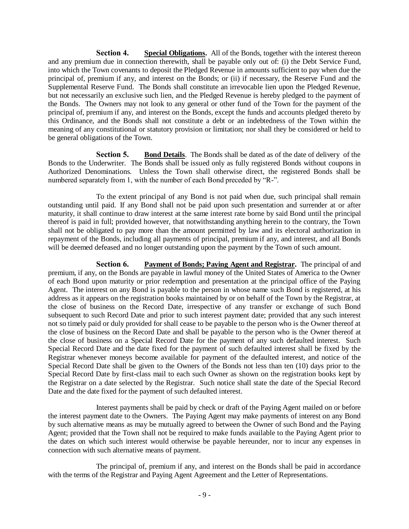**Section 4. Special Obligations.** All of the Bonds, together with the interest thereon and any premium due in connection therewith, shall be payable only out of: (i) the Debt Service Fund, into which the Town covenants to deposit the Pledged Revenue in amounts sufficient to pay when due the principal of, premium if any, and interest on the Bonds; or (ii) if necessary, the Reserve Fund and the Supplemental Reserve Fund. The Bonds shall constitute an irrevocable lien upon the Pledged Revenue, but not necessarily an exclusive such lien, and the Pledged Revenue is hereby pledged to the payment of the Bonds. The Owners may not look to any general or other fund of the Town for the payment of the principal of, premium if any, and interest on the Bonds, except the funds and accounts pledged thereto by this Ordinance, and the Bonds shall not constitute a debt or an indebtedness of the Town within the meaning of any constitutional or statutory provision or limitation; nor shall they be considered or held to be general obligations of the Town.

**Section 5. Bond Details**. The Bonds shall be dated as of the date of delivery of the Bonds to the Underwriter. The Bonds shall be issued only as fully registered Bonds without coupons in Authorized Denominations. Unless the Town shall otherwise direct, the registered Bonds shall be numbered separately from 1, with the number of each Bond preceded by "R-".

To the extent principal of any Bond is not paid when due, such principal shall remain outstanding until paid. If any Bond shall not be paid upon such presentation and surrender at or after maturity, it shall continue to draw interest at the same interest rate borne by said Bond until the principal thereof is paid in full; provided however, that notwithstanding anything herein to the contrary, the Town shall not be obligated to pay more than the amount permitted by law and its electoral authorization in repayment of the Bonds, including all payments of principal, premium if any, and interest, and all Bonds will be deemed defeased and no longer outstanding upon the payment by the Town of such amount.

**Section 6. Payment of Bonds; Paying Agent and Registrar.** The principal of and premium, if any, on the Bonds are payable in lawful money of the United States of America to the Owner of each Bond upon maturity or prior redemption and presentation at the principal office of the Paying Agent. The interest on any Bond is payable to the person in whose name such Bond is registered, at his address as it appears on the registration books maintained by or on behalf of the Town by the Registrar, at the close of business on the Record Date, irrespective of any transfer or exchange of such Bond subsequent to such Record Date and prior to such interest payment date; provided that any such interest not so timely paid or duly provided for shall cease to be payable to the person who is the Owner thereof at the close of business on the Record Date and shall be payable to the person who is the Owner thereof at the close of business on a Special Record Date for the payment of any such defaulted interest. Such Special Record Date and the date fixed for the payment of such defaulted interest shall be fixed by the Registrar whenever moneys become available for payment of the defaulted interest, and notice of the Special Record Date shall be given to the Owners of the Bonds not less than ten (10) days prior to the Special Record Date by first-class mail to each such Owner as shown on the registration books kept by the Registrar on a date selected by the Registrar. Such notice shall state the date of the Special Record Date and the date fixed for the payment of such defaulted interest.

Interest payments shall be paid by check or draft of the Paying Agent mailed on or before the interest payment date to the Owners. The Paying Agent may make payments of interest on any Bond by such alternative means as may be mutually agreed to between the Owner of such Bond and the Paying Agent; provided that the Town shall not be required to make funds available to the Paying Agent prior to the dates on which such interest would otherwise be payable hereunder, nor to incur any expenses in connection with such alternative means of payment.

The principal of, premium if any, and interest on the Bonds shall be paid in accordance with the terms of the Registrar and Paying Agent Agreement and the Letter of Representations.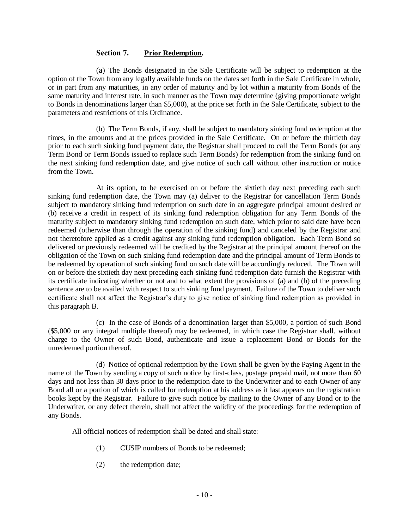# **Section 7. Prior Redemption.**

(a) The Bonds designated in the Sale Certificate will be subject to redemption at the option of the Town from any legally available funds on the dates set forth in the Sale Certificate in whole, or in part from any maturities, in any order of maturity and by lot within a maturity from Bonds of the same maturity and interest rate, in such manner as the Town may determine (giving proportionate weight to Bonds in denominations larger than \$5,000), at the price set forth in the Sale Certificate, subject to the parameters and restrictions of this Ordinance.

(b) The Term Bonds, if any, shall be subject to mandatory sinking fund redemption at the times, in the amounts and at the prices provided in the Sale Certificate. On or before the thirtieth day prior to each such sinking fund payment date, the Registrar shall proceed to call the Term Bonds (or any Term Bond or Term Bonds issued to replace such Term Bonds) for redemption from the sinking fund on the next sinking fund redemption date, and give notice of such call without other instruction or notice from the Town.

At its option, to be exercised on or before the sixtieth day next preceding each such sinking fund redemption date, the Town may (a) deliver to the Registrar for cancellation Term Bonds subject to mandatory sinking fund redemption on such date in an aggregate principal amount desired or (b) receive a credit in respect of its sinking fund redemption obligation for any Term Bonds of the maturity subject to mandatory sinking fund redemption on such date, which prior to said date have been redeemed (otherwise than through the operation of the sinking fund) and canceled by the Registrar and not theretofore applied as a credit against any sinking fund redemption obligation. Each Term Bond so delivered or previously redeemed will be credited by the Registrar at the principal amount thereof on the obligation of the Town on such sinking fund redemption date and the principal amount of Term Bonds to be redeemed by operation of such sinking fund on such date will be accordingly reduced. The Town will on or before the sixtieth day next preceding each sinking fund redemption date furnish the Registrar with its certificate indicating whether or not and to what extent the provisions of (a) and (b) of the preceding sentence are to be availed with respect to such sinking fund payment. Failure of the Town to deliver such certificate shall not affect the Registrar's duty to give notice of sinking fund redemption as provided in this paragraph B.

(c) In the case of Bonds of a denomination larger than \$5,000, a portion of such Bond (\$5,000 or any integral multiple thereof) may be redeemed, in which case the Registrar shall, without charge to the Owner of such Bond, authenticate and issue a replacement Bond or Bonds for the unredeemed portion thereof.

(d) Notice of optional redemption by the Town shall be given by the Paying Agent in the name of the Town by sending a copy of such notice by first-class, postage prepaid mail, not more than 60 days and not less than 30 days prior to the redemption date to the Underwriter and to each Owner of any Bond all or a portion of which is called for redemption at his address as it last appears on the registration books kept by the Registrar. Failure to give such notice by mailing to the Owner of any Bond or to the Underwriter, or any defect therein, shall not affect the validity of the proceedings for the redemption of any Bonds.

All official notices of redemption shall be dated and shall state:

- (1) CUSIP numbers of Bonds to be redeemed;
- (2) the redemption date;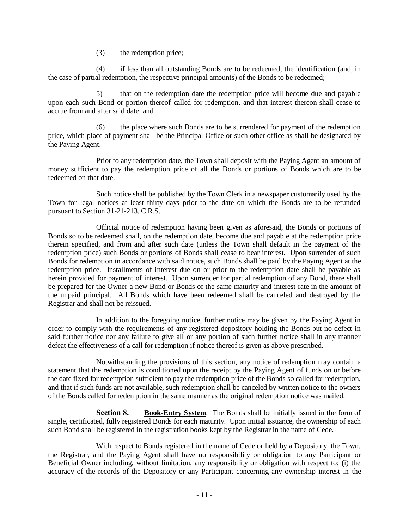(3) the redemption price;

(4) if less than all outstanding Bonds are to be redeemed, the identification (and, in the case of partial redemption, the respective principal amounts) of the Bonds to be redeemed;

5) that on the redemption date the redemption price will become due and payable upon each such Bond or portion thereof called for redemption, and that interest thereon shall cease to accrue from and after said date; and

(6) the place where such Bonds are to be surrendered for payment of the redemption price, which place of payment shall be the Principal Office or such other office as shall be designated by the Paying Agent.

Prior to any redemption date, the Town shall deposit with the Paying Agent an amount of money sufficient to pay the redemption price of all the Bonds or portions of Bonds which are to be redeemed on that date.

Such notice shall be published by the Town Clerk in a newspaper customarily used by the Town for legal notices at least thirty days prior to the date on which the Bonds are to be refunded pursuant to Section 31-21-213, C.R.S.

Official notice of redemption having been given as aforesaid, the Bonds or portions of Bonds so to be redeemed shall, on the redemption date, become due and payable at the redemption price therein specified, and from and after such date (unless the Town shall default in the payment of the redemption price) such Bonds or portions of Bonds shall cease to bear interest. Upon surrender of such Bonds for redemption in accordance with said notice, such Bonds shall be paid by the Paying Agent at the redemption price. Installments of interest due on or prior to the redemption date shall be payable as herein provided for payment of interest. Upon surrender for partial redemption of any Bond, there shall be prepared for the Owner a new Bond or Bonds of the same maturity and interest rate in the amount of the unpaid principal. All Bonds which have been redeemed shall be canceled and destroyed by the Registrar and shall not be reissued.

In addition to the foregoing notice, further notice may be given by the Paying Agent in order to comply with the requirements of any registered depository holding the Bonds but no defect in said further notice nor any failure to give all or any portion of such further notice shall in any manner defeat the effectiveness of a call for redemption if notice thereof is given as above prescribed.

Notwithstanding the provisions of this section, any notice of redemption may contain a statement that the redemption is conditioned upon the receipt by the Paying Agent of funds on or before the date fixed for redemption sufficient to pay the redemption price of the Bonds so called for redemption, and that if such funds are not available, such redemption shall be canceled by written notice to the owners of the Bonds called for redemption in the same manner as the original redemption notice was mailed.

**Section 8. Book-Entry System**. The Bonds shall be initially issued in the form of single, certificated, fully registered Bonds for each maturity. Upon initial issuance, the ownership of each such Bond shall be registered in the registration books kept by the Registrar in the name of Cede.

With respect to Bonds registered in the name of Cede or held by a Depository, the Town, the Registrar, and the Paying Agent shall have no responsibility or obligation to any Participant or Beneficial Owner including, without limitation, any responsibility or obligation with respect to: (i) the accuracy of the records of the Depository or any Participant concerning any ownership interest in the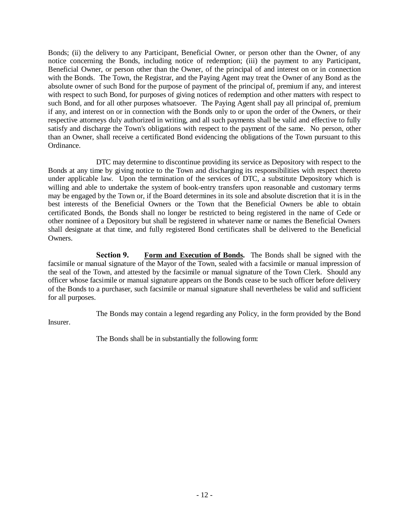Bonds; (ii) the delivery to any Participant, Beneficial Owner, or person other than the Owner, of any notice concerning the Bonds, including notice of redemption; (iii) the payment to any Participant, Beneficial Owner, or person other than the Owner, of the principal of and interest on or in connection with the Bonds. The Town, the Registrar, and the Paying Agent may treat the Owner of any Bond as the absolute owner of such Bond for the purpose of payment of the principal of, premium if any, and interest with respect to such Bond, for purposes of giving notices of redemption and other matters with respect to such Bond, and for all other purposes whatsoever. The Paying Agent shall pay all principal of, premium if any, and interest on or in connection with the Bonds only to or upon the order of the Owners, or their respective attorneys duly authorized in writing, and all such payments shall be valid and effective to fully satisfy and discharge the Town's obligations with respect to the payment of the same. No person, other than an Owner, shall receive a certificated Bond evidencing the obligations of the Town pursuant to this Ordinance.

DTC may determine to discontinue providing its service as Depository with respect to the Bonds at any time by giving notice to the Town and discharging its responsibilities with respect thereto under applicable law. Upon the termination of the services of DTC, a substitute Depository which is willing and able to undertake the system of book-entry transfers upon reasonable and customary terms may be engaged by the Town or, if the Board determines in its sole and absolute discretion that it is in the best interests of the Beneficial Owners or the Town that the Beneficial Owners be able to obtain certificated Bonds, the Bonds shall no longer be restricted to being registered in the name of Cede or other nominee of a Depository but shall be registered in whatever name or names the Beneficial Owners shall designate at that time, and fully registered Bond certificates shall be delivered to the Beneficial Owners.

**Section 9. Form and Execution of Bonds.** The Bonds shall be signed with the facsimile or manual signature of the Mayor of the Town, sealed with a facsimile or manual impression of the seal of the Town, and attested by the facsimile or manual signature of the Town Clerk. Should any officer whose facsimile or manual signature appears on the Bonds cease to be such officer before delivery of the Bonds to a purchaser, such facsimile or manual signature shall nevertheless be valid and sufficient for all purposes.

The Bonds may contain a legend regarding any Policy, in the form provided by the Bond Insurer.

The Bonds shall be in substantially the following form: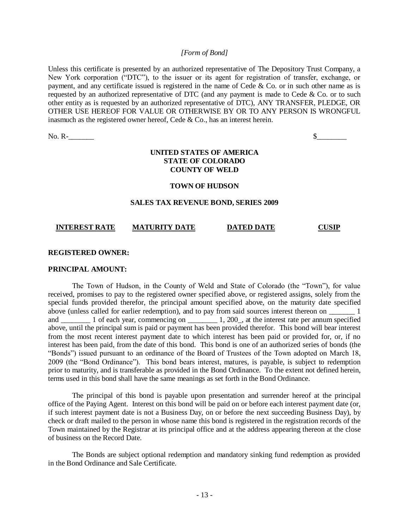## *[Form of Bond]*

Unless this certificate is presented by an authorized representative of The Depository Trust Company, a New York corporation ("DTC"), to the issuer or its agent for registration of transfer, exchange, or payment, and any certificate issued is registered in the name of Cede & Co. or in such other name as is requested by an authorized representative of DTC (and any payment is made to Cede & Co. or to such other entity as is requested by an authorized representative of DTC), ANY TRANSFER, PLEDGE, OR OTHER USE HEREOF FOR VALUE OR OTHERWISE BY OR TO ANY PERSON IS WRONGFUL inasmuch as the registered owner hereof, Cede  $& Co.,$  has an interest herein.

No. R- $\overline{\phantom{a}}$ 

# **UNITED STATES OF AMERICA STATE OF COLORADO COUNTY OF WELD**

#### **TOWN OF HUDSON**

#### **SALES TAX REVENUE BOND, SERIES 2009**

## **INTEREST RATE MATURITY DATE DATED DATE CUSIP**

### **REGISTERED OWNER:**

#### **PRINCIPAL AMOUNT:**

The Town of Hudson, in the County of Weld and State of Colorado (the "Town"), for value received, promises to pay to the registered owner specified above, or registered assigns, solely from the special funds provided therefor, the principal amount specified above, on the maturity date specified above (unless called for earlier redemption), and to pay from said sources interest thereon on \_\_\_\_\_\_\_ 1 and \_\_\_\_\_\_\_\_ 1 of each year, commencing on \_\_\_\_\_\_\_\_\_\_ 1, 200\_, at the interest rate per annum specified above, until the principal sum is paid or payment has been provided therefor. This bond will bear interest from the most recent interest payment date to which interest has been paid or provided for, or, if no interest has been paid, from the date of this bond. This bond is one of an authorized series of bonds (the "Bonds") issued pursuant to an ordinance of the Board of Trustees of the Town adopted on March 18, 2009 (the "Bond Ordinance"). This bond bears interest, matures, is payable, is subject to redemption prior to maturity, and is transferable as provided in the Bond Ordinance. To the extent not defined herein, terms used in this bond shall have the same meanings as set forth in the Bond Ordinance.

The principal of this bond is payable upon presentation and surrender hereof at the principal office of the Paying Agent. Interest on this bond will be paid on or before each interest payment date (or, if such interest payment date is not a Business Day, on or before the next succeeding Business Day), by check or draft mailed to the person in whose name this bond is registered in the registration records of the Town maintained by the Registrar at its principal office and at the address appearing thereon at the close of business on the Record Date.

The Bonds are subject optional redemption and mandatory sinking fund redemption as provided in the Bond Ordinance and Sale Certificate.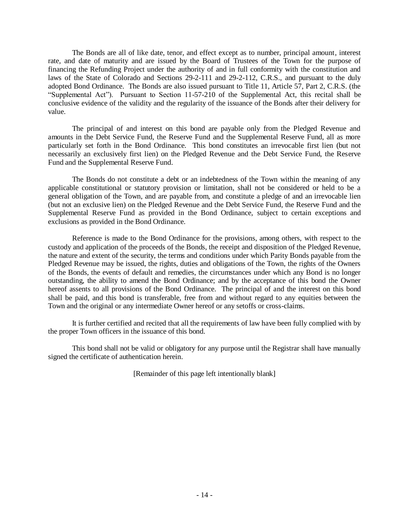The Bonds are all of like date, tenor, and effect except as to number, principal amount, interest rate, and date of maturity and are issued by the Board of Trustees of the Town for the purpose of financing the Refunding Project under the authority of and in full conformity with the constitution and laws of the State of Colorado and Sections 29-2-111 and 29-2-112, C.R.S., and pursuant to the duly adopted Bond Ordinance. The Bonds are also issued pursuant to Title 11, Article 57, Part 2, C.R.S. (the "Supplemental Act"). Pursuant to Section 11-57-210 of the Supplemental Act, this recital shall be conclusive evidence of the validity and the regularity of the issuance of the Bonds after their delivery for value.

The principal of and interest on this bond are payable only from the Pledged Revenue and amounts in the Debt Service Fund, the Reserve Fund and the Supplemental Reserve Fund, all as more particularly set forth in the Bond Ordinance. This bond constitutes an irrevocable first lien (but not necessarily an exclusively first lien) on the Pledged Revenue and the Debt Service Fund, the Reserve Fund and the Supplemental Reserve Fund.

The Bonds do not constitute a debt or an indebtedness of the Town within the meaning of any applicable constitutional or statutory provision or limitation, shall not be considered or held to be a general obligation of the Town, and are payable from, and constitute a pledge of and an irrevocable lien (but not an exclusive lien) on the Pledged Revenue and the Debt Service Fund, the Reserve Fund and the Supplemental Reserve Fund as provided in the Bond Ordinance, subject to certain exceptions and exclusions as provided in the Bond Ordinance.

Reference is made to the Bond Ordinance for the provisions, among others, with respect to the custody and application of the proceeds of the Bonds, the receipt and disposition of the Pledged Revenue, the nature and extent of the security, the terms and conditions under which Parity Bonds payable from the Pledged Revenue may be issued, the rights, duties and obligations of the Town, the rights of the Owners of the Bonds, the events of default and remedies, the circumstances under which any Bond is no longer outstanding, the ability to amend the Bond Ordinance; and by the acceptance of this bond the Owner hereof assents to all provisions of the Bond Ordinance. The principal of and the interest on this bond shall be paid, and this bond is transferable, free from and without regard to any equities between the Town and the original or any intermediate Owner hereof or any setoffs or cross-claims.

It is further certified and recited that all the requirements of law have been fully complied with by the proper Town officers in the issuance of this bond.

This bond shall not be valid or obligatory for any purpose until the Registrar shall have manually signed the certificate of authentication herein.

[Remainder of this page left intentionally blank]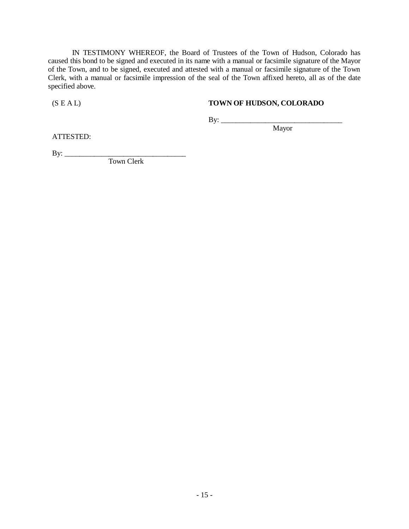IN TESTIMONY WHEREOF, the Board of Trustees of the Town of Hudson, Colorado has caused this bond to be signed and executed in its name with a manual or facsimile signature of the Mayor of the Town, and to be signed, executed and attested with a manual or facsimile signature of the Town Clerk, with a manual or facsimile impression of the seal of the Town affixed hereto, all as of the date specified above.

## (S E A L) **TOWN OF HUDSON, COLORADO**

Mayor

By: \_\_\_\_\_\_\_\_\_\_\_\_\_\_\_\_\_\_\_\_\_\_\_\_\_\_\_\_\_\_\_\_\_

ATTESTED:

 $\text{By:}\_$ 

Town Clerk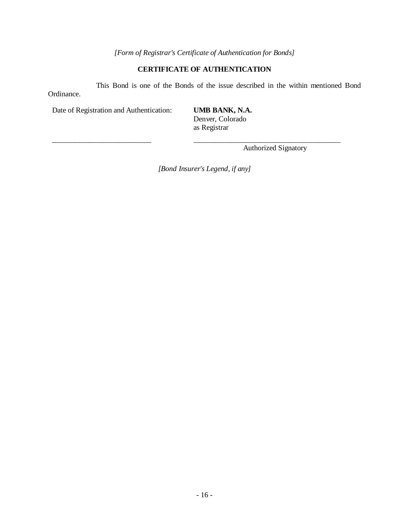# *[Form of Registrar's Certificate of Authentication for Bonds]*

# **CERTIFICATE OF AUTHENTICATION**

This Bond is one of the Bonds of the issue described in the within mentioned Bond Ordinance.

Date of Registration and Authentication: **UMB BANK, N.A.**

Denver, Colorado as Registrar

Authorized Signatory

*[Bond Insurer's Legend, if any]*

\_\_\_\_\_\_\_\_\_\_\_\_\_\_\_\_\_\_\_\_\_\_\_\_\_\_\_ \_\_\_\_\_\_\_\_\_\_\_\_\_\_\_\_\_\_\_\_\_\_\_\_\_\_\_\_\_\_\_\_\_\_\_\_\_\_\_\_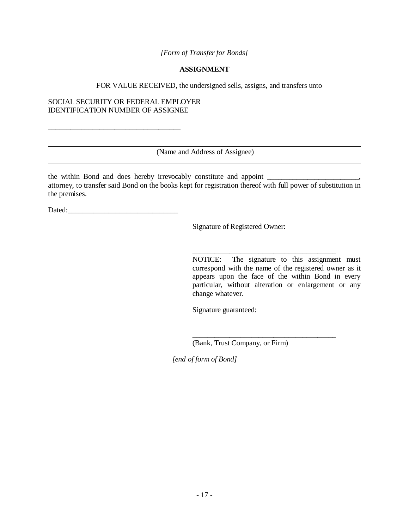*[Form of Transfer for Bonds]*

## **ASSIGNMENT**

FOR VALUE RECEIVED, the undersigned sells, assigns, and transfers unto

## SOCIAL SECURITY OR FEDERAL EMPLOYER IDENTIFICATION NUMBER OF ASSIGNEE

\_\_\_\_\_\_\_\_\_\_\_\_\_\_\_\_\_\_\_\_\_\_\_\_\_\_\_\_\_\_\_\_\_\_\_\_

(Name and Address of Assignee)

the within Bond and does hereby irrevocably constitute and appoint attorney, to transfer said Bond on the books kept for registration thereof with full power of substitution in the premises.

Dated:

Signature of Registered Owner:

NOTICE: The signature to this assignment must correspond with the name of the registered owner as it appears upon the face of the within Bond in every particular, without alteration or enlargement or any change whatever.

\_\_\_\_\_\_\_\_\_\_\_\_\_\_\_\_\_\_\_\_\_\_\_\_\_\_\_\_\_\_\_\_\_\_\_\_\_\_\_

\_\_\_\_\_\_\_\_\_\_\_\_\_\_\_\_\_\_\_\_\_\_\_\_\_\_\_\_\_\_\_\_\_\_\_\_\_\_\_

Signature guaranteed:

(Bank, Trust Company, or Firm)

*[end of form of Bond]*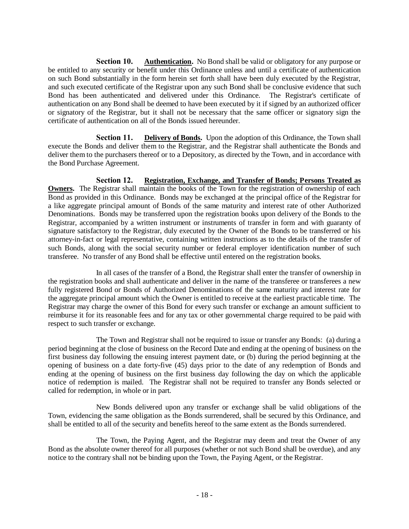**Section 10. Authentication.** No Bond shall be valid or obligatory for any purpose or be entitled to any security or benefit under this Ordinance unless and until a certificate of authentication on such Bond substantially in the form herein set forth shall have been duly executed by the Registrar, and such executed certificate of the Registrar upon any such Bond shall be conclusive evidence that such Bond has been authenticated and delivered under this Ordinance. The Registrar's certificate of authentication on any Bond shall be deemed to have been executed by it if signed by an authorized officer or signatory of the Registrar, but it shall not be necessary that the same officer or signatory sign the certificate of authentication on all of the Bonds issued hereunder.

**Section 11. Delivery of Bonds.** Upon the adoption of this Ordinance, the Town shall execute the Bonds and deliver them to the Registrar, and the Registrar shall authenticate the Bonds and deliver them to the purchasers thereof or to a Depository, as directed by the Town, and in accordance with the Bond Purchase Agreement.

**Section 12. Registration, Exchange, and Transfer of Bonds; Persons Treated as Owners.** The Registrar shall maintain the books of the Town for the registration of ownership of each Bond as provided in this Ordinance. Bonds may be exchanged at the principal office of the Registrar for a like aggregate principal amount of Bonds of the same maturity and interest rate of other Authorized Denominations. Bonds may be transferred upon the registration books upon delivery of the Bonds to the Registrar, accompanied by a written instrument or instruments of transfer in form and with guaranty of signature satisfactory to the Registrar, duly executed by the Owner of the Bonds to be transferred or his attorney-in-fact or legal representative, containing written instructions as to the details of the transfer of such Bonds, along with the social security number or federal employer identification number of such transferee. No transfer of any Bond shall be effective until entered on the registration books.

In all cases of the transfer of a Bond, the Registrar shall enter the transfer of ownership in the registration books and shall authenticate and deliver in the name of the transferee or transferees a new fully registered Bond or Bonds of Authorized Denominations of the same maturity and interest rate for the aggregate principal amount which the Owner is entitled to receive at the earliest practicable time. The Registrar may charge the owner of this Bond for every such transfer or exchange an amount sufficient to reimburse it for its reasonable fees and for any tax or other governmental charge required to be paid with respect to such transfer or exchange.

The Town and Registrar shall not be required to issue or transfer any Bonds: (a) during a period beginning at the close of business on the Record Date and ending at the opening of business on the first business day following the ensuing interest payment date, or (b) during the period beginning at the opening of business on a date forty-five (45) days prior to the date of any redemption of Bonds and ending at the opening of business on the first business day following the day on which the applicable notice of redemption is mailed. The Registrar shall not be required to transfer any Bonds selected or called for redemption, in whole or in part.

New Bonds delivered upon any transfer or exchange shall be valid obligations of the Town, evidencing the same obligation as the Bonds surrendered, shall be secured by this Ordinance, and shall be entitled to all of the security and benefits hereof to the same extent as the Bonds surrendered.

The Town, the Paying Agent, and the Registrar may deem and treat the Owner of any Bond as the absolute owner thereof for all purposes (whether or not such Bond shall be overdue), and any notice to the contrary shall not be binding upon the Town, the Paying Agent, or the Registrar.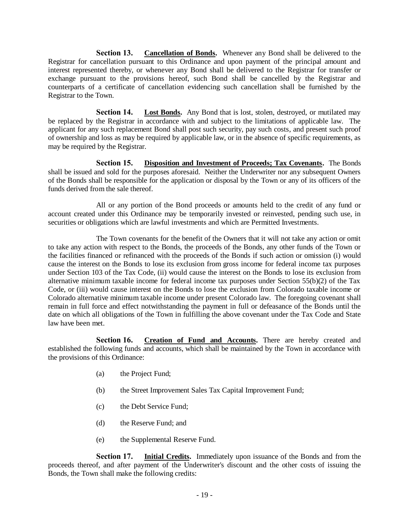**Section 13. Cancellation of Bonds.** Whenever any Bond shall be delivered to the Registrar for cancellation pursuant to this Ordinance and upon payment of the principal amount and interest represented thereby, or whenever any Bond shall be delivered to the Registrar for transfer or exchange pursuant to the provisions hereof, such Bond shall be cancelled by the Registrar and counterparts of a certificate of cancellation evidencing such cancellation shall be furnished by the Registrar to the Town.

**Section 14. Lost Bonds.** Any Bond that is lost, stolen, destroyed, or mutilated may be replaced by the Registrar in accordance with and subject to the limitations of applicable law. The applicant for any such replacement Bond shall post such security, pay such costs, and present such proof of ownership and loss as may be required by applicable law, or in the absence of specific requirements, as may be required by the Registrar.

**Section 15. Disposition and Investment of Proceeds; Tax Covenants.** The Bonds shall be issued and sold for the purposes aforesaid. Neither the Underwriter nor any subsequent Owners of the Bonds shall be responsible for the application or disposal by the Town or any of its officers of the funds derived from the sale thereof.

All or any portion of the Bond proceeds or amounts held to the credit of any fund or account created under this Ordinance may be temporarily invested or reinvested, pending such use, in securities or obligations which are lawful investments and which are Permitted Investments.

The Town covenants for the benefit of the Owners that it will not take any action or omit to take any action with respect to the Bonds, the proceeds of the Bonds, any other funds of the Town or the facilities financed or refinanced with the proceeds of the Bonds if such action or omission (i) would cause the interest on the Bonds to lose its exclusion from gross income for federal income tax purposes under Section 103 of the Tax Code, (ii) would cause the interest on the Bonds to lose its exclusion from alternative minimum taxable income for federal income tax purposes under Section 55(b)(2) of the Tax Code, or (iii) would cause interest on the Bonds to lose the exclusion from Colorado taxable income or Colorado alternative minimum taxable income under present Colorado law. The foregoing covenant shall remain in full force and effect notwithstanding the payment in full or defeasance of the Bonds until the date on which all obligations of the Town in fulfilling the above covenant under the Tax Code and State law have been met.

**Section 16. Creation of Fund and Accounts.** There are hereby created and established the following funds and accounts, which shall be maintained by the Town in accordance with the provisions of this Ordinance:

- (a) the Project Fund;
- (b) the Street Improvement Sales Tax Capital Improvement Fund;
- (c) the Debt Service Fund;
- (d) the Reserve Fund; and
- (e) the Supplemental Reserve Fund.

**Section 17. Initial Credits.** Immediately upon issuance of the Bonds and from the proceeds thereof, and after payment of the Underwriter's discount and the other costs of issuing the Bonds, the Town shall make the following credits: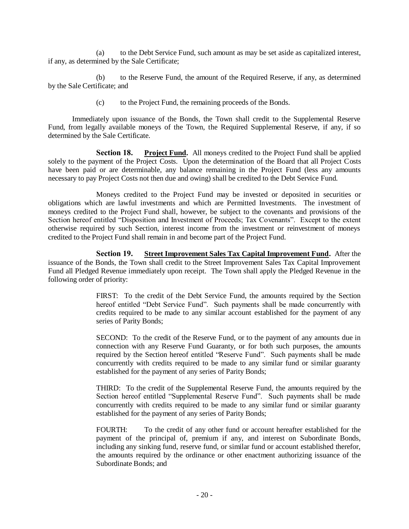(a) to the Debt Service Fund, such amount as may be set aside as capitalized interest, if any, as determined by the Sale Certificate;

(b) to the Reserve Fund, the amount of the Required Reserve, if any, as determined by the Sale Certificate; and

(c) to the Project Fund, the remaining proceeds of the Bonds.

Immediately upon issuance of the Bonds, the Town shall credit to the Supplemental Reserve Fund, from legally available moneys of the Town, the Required Supplemental Reserve, if any, if so determined by the Sale Certificate.

**Section 18. Project Fund.** All moneys credited to the Project Fund shall be applied solely to the payment of the Project Costs. Upon the determination of the Board that all Project Costs have been paid or are determinable, any balance remaining in the Project Fund (less any amounts necessary to pay Project Costs not then due and owing) shall be credited to the Debt Service Fund.

Moneys credited to the Project Fund may be invested or deposited in securities or obligations which are lawful investments and which are Permitted Investments. The investment of moneys credited to the Project Fund shall, however, be subject to the covenants and provisions of the Section hereof entitled "Disposition and Investment of Proceeds; Tax Covenants". Except to the extent otherwise required by such Section, interest income from the investment or reinvestment of moneys credited to the Project Fund shall remain in and become part of the Project Fund.

**Section 19. Street Improvement Sales Tax Capital Improvement Fund.** After the issuance of the Bonds, the Town shall credit to the Street Improvement Sales Tax Capital Improvement Fund all Pledged Revenue immediately upon receipt. The Town shall apply the Pledged Revenue in the following order of priority:

> FIRST: To the credit of the Debt Service Fund, the amounts required by the Section hereof entitled "Debt Service Fund". Such payments shall be made concurrently with credits required to be made to any similar account established for the payment of any series of Parity Bonds;

> SECOND: To the credit of the Reserve Fund, or to the payment of any amounts due in connection with any Reserve Fund Guaranty, or for both such purposes, the amounts required by the Section hereof entitled "Reserve Fund". Such payments shall be made concurrently with credits required to be made to any similar fund or similar guaranty established for the payment of any series of Parity Bonds;

> THIRD: To the credit of the Supplemental Reserve Fund, the amounts required by the Section hereof entitled "Supplemental Reserve Fund". Such payments shall be made concurrently with credits required to be made to any similar fund or similar guaranty established for the payment of any series of Parity Bonds;

> FOURTH: To the credit of any other fund or account hereafter established for the payment of the principal of, premium if any, and interest on Subordinate Bonds, including any sinking fund, reserve fund, or similar fund or account established therefor, the amounts required by the ordinance or other enactment authorizing issuance of the Subordinate Bonds; and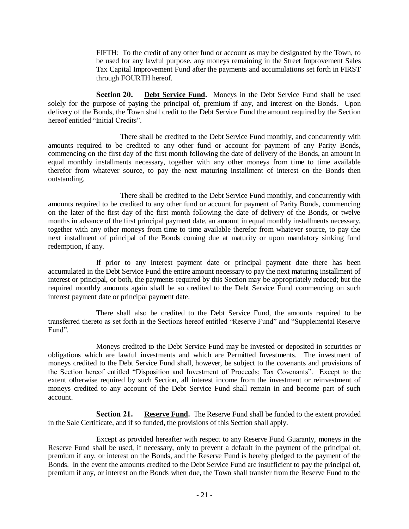FIFTH: To the credit of any other fund or account as may be designated by the Town, to be used for any lawful purpose, any moneys remaining in the Street Improvement Sales Tax Capital Improvement Fund after the payments and accumulations set forth in FIRST through FOURTH hereof.

**Section 20. Debt Service Fund.** Moneys in the Debt Service Fund shall be used solely for the purpose of paying the principal of, premium if any, and interest on the Bonds. Upon delivery of the Bonds, the Town shall credit to the Debt Service Fund the amount required by the Section hereof entitled "Initial Credits".

There shall be credited to the Debt Service Fund monthly, and concurrently with amounts required to be credited to any other fund or account for payment of any Parity Bonds, commencing on the first day of the first month following the date of delivery of the Bonds, an amount in equal monthly installments necessary, together with any other moneys from time to time available therefor from whatever source, to pay the next maturing installment of interest on the Bonds then outstanding.

There shall be credited to the Debt Service Fund monthly, and concurrently with amounts required to be credited to any other fund or account for payment of Parity Bonds, commencing on the later of the first day of the first month following the date of delivery of the Bonds, or twelve months in advance of the first principal payment date, an amount in equal monthly installments necessary, together with any other moneys from time to time available therefor from whatever source, to pay the next installment of principal of the Bonds coming due at maturity or upon mandatory sinking fund redemption, if any.

If prior to any interest payment date or principal payment date there has been accumulated in the Debt Service Fund the entire amount necessary to pay the next maturing installment of interest or principal, or both, the payments required by this Section may be appropriately reduced; but the required monthly amounts again shall be so credited to the Debt Service Fund commencing on such interest payment date or principal payment date.

There shall also be credited to the Debt Service Fund, the amounts required to be transferred thereto as set forth in the Sections hereof entitled "Reserve Fund" and "Supplemental Reserve Fund".

Moneys credited to the Debt Service Fund may be invested or deposited in securities or obligations which are lawful investments and which are Permitted Investments. The investment of moneys credited to the Debt Service Fund shall, however, be subject to the covenants and provisions of the Section hereof entitled "Disposition and Investment of Proceeds; Tax Covenants". Except to the extent otherwise required by such Section, all interest income from the investment or reinvestment of moneys credited to any account of the Debt Service Fund shall remain in and become part of such account.

**Section 21. Reserve Fund.** The Reserve Fund shall be funded to the extent provided in the Sale Certificate, and if so funded, the provisions of this Section shall apply.

Except as provided hereafter with respect to any Reserve Fund Guaranty, moneys in the Reserve Fund shall be used, if necessary, only to prevent a default in the payment of the principal of, premium if any, or interest on the Bonds, and the Reserve Fund is hereby pledged to the payment of the Bonds. In the event the amounts credited to the Debt Service Fund are insufficient to pay the principal of, premium if any, or interest on the Bonds when due, the Town shall transfer from the Reserve Fund to the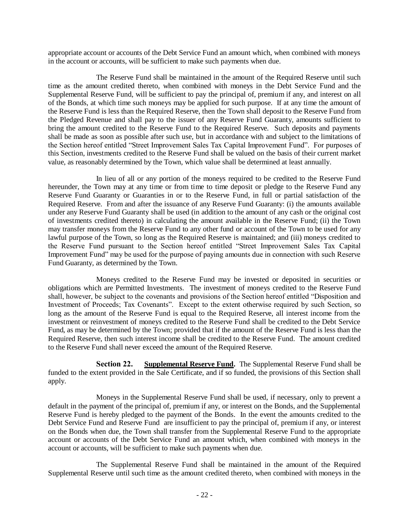appropriate account or accounts of the Debt Service Fund an amount which, when combined with moneys in the account or accounts, will be sufficient to make such payments when due.

The Reserve Fund shall be maintained in the amount of the Required Reserve until such time as the amount credited thereto, when combined with moneys in the Debt Service Fund and the Supplemental Reserve Fund, will be sufficient to pay the principal of, premium if any, and interest on all of the Bonds, at which time such moneys may be applied for such purpose. If at any time the amount of the Reserve Fund is less than the Required Reserve, then the Town shall deposit to the Reserve Fund from the Pledged Revenue and shall pay to the issuer of any Reserve Fund Guaranty, amounts sufficient to bring the amount credited to the Reserve Fund to the Required Reserve. Such deposits and payments shall be made as soon as possible after such use, but in accordance with and subject to the limitations of the Section hereof entitled "Street Improvement Sales Tax Capital Improvement Fund". For purposes of this Section, investments credited to the Reserve Fund shall be valued on the basis of their current market value, as reasonably determined by the Town, which value shall be determined at least annually.

In lieu of all or any portion of the moneys required to be credited to the Reserve Fund hereunder, the Town may at any time or from time to time deposit or pledge to the Reserve Fund any Reserve Fund Guaranty or Guaranties in or to the Reserve Fund, in full or partial satisfaction of the Required Reserve. From and after the issuance of any Reserve Fund Guaranty: (i) the amounts available under any Reserve Fund Guaranty shall be used (in addition to the amount of any cash or the original cost of investments credited thereto) in calculating the amount available in the Reserve Fund; (ii) the Town may transfer moneys from the Reserve Fund to any other fund or account of the Town to be used for any lawful purpose of the Town, so long as the Required Reserve is maintained; and (iii) moneys credited to the Reserve Fund pursuant to the Section hereof entitled "Street Improvement Sales Tax Capital Improvement Fund" may be used for the purpose of paying amounts due in connection with such Reserve Fund Guaranty, as determined by the Town.

Moneys credited to the Reserve Fund may be invested or deposited in securities or obligations which are Permitted Investments. The investment of moneys credited to the Reserve Fund shall, however, be subject to the covenants and provisions of the Section hereof entitled "Disposition and Investment of Proceeds; Tax Covenants". Except to the extent otherwise required by such Section, so long as the amount of the Reserve Fund is equal to the Required Reserve, all interest income from the investment or reinvestment of moneys credited to the Reserve Fund shall be credited to the Debt Service Fund, as may be determined by the Town; provided that if the amount of the Reserve Fund is less than the Required Reserve, then such interest income shall be credited to the Reserve Fund. The amount credited to the Reserve Fund shall never exceed the amount of the Required Reserve.

**Section 22. Supplemental Reserve Fund.** The Supplemental Reserve Fund shall be funded to the extent provided in the Sale Certificate, and if so funded, the provisions of this Section shall apply.

Moneys in the Supplemental Reserve Fund shall be used, if necessary, only to prevent a default in the payment of the principal of, premium if any, or interest on the Bonds, and the Supplemental Reserve Fund is hereby pledged to the payment of the Bonds. In the event the amounts credited to the Debt Service Fund and Reserve Fund are insufficient to pay the principal of, premium if any, or interest on the Bonds when due, the Town shall transfer from the Supplemental Reserve Fund to the appropriate account or accounts of the Debt Service Fund an amount which, when combined with moneys in the account or accounts, will be sufficient to make such payments when due.

The Supplemental Reserve Fund shall be maintained in the amount of the Required Supplemental Reserve until such time as the amount credited thereto, when combined with moneys in the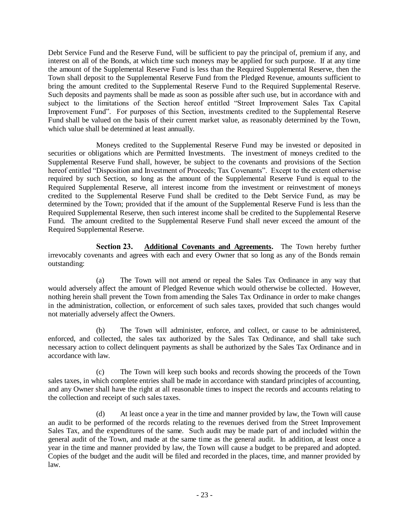Debt Service Fund and the Reserve Fund, will be sufficient to pay the principal of, premium if any, and interest on all of the Bonds, at which time such moneys may be applied for such purpose. If at any time the amount of the Supplemental Reserve Fund is less than the Required Supplemental Reserve, then the Town shall deposit to the Supplemental Reserve Fund from the Pledged Revenue, amounts sufficient to bring the amount credited to the Supplemental Reserve Fund to the Required Supplemental Reserve. Such deposits and payments shall be made as soon as possible after such use, but in accordance with and subject to the limitations of the Section hereof entitled "Street Improvement Sales Tax Capital Improvement Fund". For purposes of this Section, investments credited to the Supplemental Reserve Fund shall be valued on the basis of their current market value, as reasonably determined by the Town, which value shall be determined at least annually.

Moneys credited to the Supplemental Reserve Fund may be invested or deposited in securities or obligations which are Permitted Investments. The investment of moneys credited to the Supplemental Reserve Fund shall, however, be subject to the covenants and provisions of the Section hereof entitled "Disposition and Investment of Proceeds; Tax Covenants". Except to the extent otherwise required by such Section, so long as the amount of the Supplemental Reserve Fund is equal to the Required Supplemental Reserve, all interest income from the investment or reinvestment of moneys credited to the Supplemental Reserve Fund shall be credited to the Debt Service Fund, as may be determined by the Town; provided that if the amount of the Supplemental Reserve Fund is less than the Required Supplemental Reserve, then such interest income shall be credited to the Supplemental Reserve Fund. The amount credited to the Supplemental Reserve Fund shall never exceed the amount of the Required Supplemental Reserve.

**Section 23. Additional Covenants and Agreements.** The Town hereby further irrevocably covenants and agrees with each and every Owner that so long as any of the Bonds remain outstanding:

(a) The Town will not amend or repeal the Sales Tax Ordinance in any way that would adversely affect the amount of Pledged Revenue which would otherwise be collected. However, nothing herein shall prevent the Town from amending the Sales Tax Ordinance in order to make changes in the administration, collection, or enforcement of such sales taxes, provided that such changes would not materially adversely affect the Owners.

(b) The Town will administer, enforce, and collect, or cause to be administered, enforced, and collected, the sales tax authorized by the Sales Tax Ordinance, and shall take such necessary action to collect delinquent payments as shall be authorized by the Sales Tax Ordinance and in accordance with law.

(c) The Town will keep such books and records showing the proceeds of the Town sales taxes, in which complete entries shall be made in accordance with standard principles of accounting, and any Owner shall have the right at all reasonable times to inspect the records and accounts relating to the collection and receipt of such sales taxes.

(d) At least once a year in the time and manner provided by law, the Town will cause an audit to be performed of the records relating to the revenues derived from the Street Improvement Sales Tax, and the expenditures of the same. Such audit may be made part of and included within the general audit of the Town, and made at the same time as the general audit. In addition, at least once a year in the time and manner provided by law, the Town will cause a budget to be prepared and adopted. Copies of the budget and the audit will be filed and recorded in the places, time, and manner provided by law.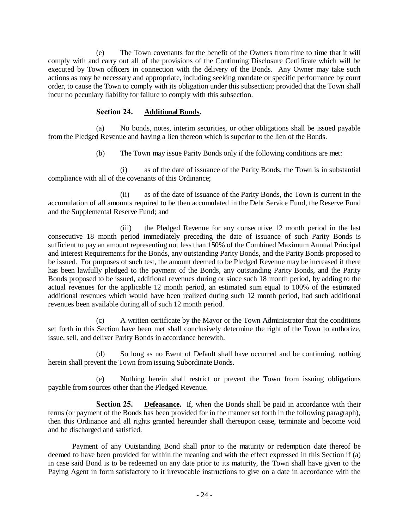(e) The Town covenants for the benefit of the Owners from time to time that it will comply with and carry out all of the provisions of the Continuing Disclosure Certificate which will be executed by Town officers in connection with the delivery of the Bonds. Any Owner may take such actions as may be necessary and appropriate, including seeking mandate or specific performance by court order, to cause the Town to comply with its obligation under this subsection; provided that the Town shall incur no pecuniary liability for failure to comply with this subsection.

## **Section 24. Additional Bonds.**

(a) No bonds, notes, interim securities, or other obligations shall be issued payable from the Pledged Revenue and having a lien thereon which is superior to the lien of the Bonds.

(b) The Town may issue Parity Bonds only if the following conditions are met:

(i) as of the date of issuance of the Parity Bonds, the Town is in substantial compliance with all of the covenants of this Ordinance;

(ii) as of the date of issuance of the Parity Bonds, the Town is current in the accumulation of all amounts required to be then accumulated in the Debt Service Fund, the Reserve Fund and the Supplemental Reserve Fund; and

(iii) the Pledged Revenue for any consecutive 12 month period in the last consecutive 18 month period immediately preceding the date of issuance of such Parity Bonds is sufficient to pay an amount representing not less than 150% of the Combined Maximum Annual Principal and Interest Requirements for the Bonds, any outstanding Parity Bonds, and the Parity Bonds proposed to be issued. For purposes of such test, the amount deemed to be Pledged Revenue may be increased if there has been lawfully pledged to the payment of the Bonds, any outstanding Parity Bonds, and the Parity Bonds proposed to be issued, additional revenues during or since such 18 month period, by adding to the actual revenues for the applicable 12 month period, an estimated sum equal to 100% of the estimated additional revenues which would have been realized during such 12 month period, had such additional revenues been available during all of such 12 month period.

(c) A written certificate by the Mayor or the Town Administrator that the conditions set forth in this Section have been met shall conclusively determine the right of the Town to authorize, issue, sell, and deliver Parity Bonds in accordance herewith.

(d) So long as no Event of Default shall have occurred and be continuing, nothing herein shall prevent the Town from issuing Subordinate Bonds.

(e) Nothing herein shall restrict or prevent the Town from issuing obligations payable from sources other than the Pledged Revenue.

**Section 25. Defeasance.** If, when the Bonds shall be paid in accordance with their terms (or payment of the Bonds has been provided for in the manner set forth in the following paragraph), then this Ordinance and all rights granted hereunder shall thereupon cease, terminate and become void and be discharged and satisfied.

Payment of any Outstanding Bond shall prior to the maturity or redemption date thereof be deemed to have been provided for within the meaning and with the effect expressed in this Section if (a) in case said Bond is to be redeemed on any date prior to its maturity, the Town shall have given to the Paying Agent in form satisfactory to it irrevocable instructions to give on a date in accordance with the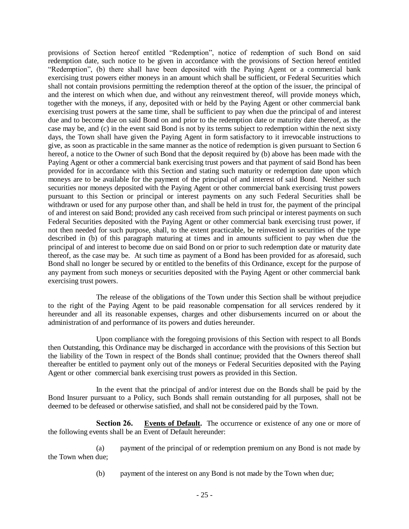provisions of Section hereof entitled "Redemption", notice of redemption of such Bond on said redemption date, such notice to be given in accordance with the provisions of Section hereof entitled "Redemption", (b) there shall have been deposited with the Paying Agent or a commercial bank exercising trust powers either moneys in an amount which shall be sufficient, or Federal Securities which shall not contain provisions permitting the redemption thereof at the option of the issuer, the principal of and the interest on which when due, and without any reinvestment thereof, will provide moneys which, together with the moneys, if any, deposited with or held by the Paying Agent or other commercial bank exercising trust powers at the same time, shall be sufficient to pay when due the principal of and interest due and to become due on said Bond on and prior to the redemption date or maturity date thereof, as the case may be, and (c) in the event said Bond is not by its terms subject to redemption within the next sixty days, the Town shall have given the Paying Agent in form satisfactory to it irrevocable instructions to give, as soon as practicable in the same manner as the notice of redemption is given pursuant to Section 6 hereof, a notice to the Owner of such Bond that the deposit required by (b) above has been made with the Paying Agent or other a commercial bank exercising trust powers and that payment of said Bond has been provided for in accordance with this Section and stating such maturity or redemption date upon which moneys are to be available for the payment of the principal of and interest of said Bond. Neither such securities nor moneys deposited with the Paying Agent or other commercial bank exercising trust powers pursuant to this Section or principal or interest payments on any such Federal Securities shall be withdrawn or used for any purpose other than, and shall be held in trust for, the payment of the principal of and interest on said Bond; provided any cash received from such principal or interest payments on such Federal Securities deposited with the Paying Agent or other commercial bank exercising trust power, if not then needed for such purpose, shall, to the extent practicable, be reinvested in securities of the type described in (b) of this paragraph maturing at times and in amounts sufficient to pay when due the principal of and interest to become due on said Bond on or prior to such redemption date or maturity date thereof, as the case may be. At such time as payment of a Bond has been provided for as aforesaid, such Bond shall no longer be secured by or entitled to the benefits of this Ordinance, except for the purpose of any payment from such moneys or securities deposited with the Paying Agent or other commercial bank exercising trust powers.

The release of the obligations of the Town under this Section shall be without prejudice to the right of the Paying Agent to be paid reasonable compensation for all services rendered by it hereunder and all its reasonable expenses, charges and other disbursements incurred on or about the administration of and performance of its powers and duties hereunder.

Upon compliance with the foregoing provisions of this Section with respect to all Bonds then Outstanding, this Ordinance may be discharged in accordance with the provisions of this Section but the liability of the Town in respect of the Bonds shall continue; provided that the Owners thereof shall thereafter be entitled to payment only out of the moneys or Federal Securities deposited with the Paying Agent or other commercial bank exercising trust powers as provided in this Section.

In the event that the principal of and/or interest due on the Bonds shall be paid by the Bond Insurer pursuant to a Policy, such Bonds shall remain outstanding for all purposes, shall not be deemed to be defeased or otherwise satisfied, and shall not be considered paid by the Town.

**Section 26. Events of Default.** The occurrence or existence of any one or more of the following events shall be an Event of Default hereunder:

(a) payment of the principal of or redemption premium on any Bond is not made by the Town when due;

(b) payment of the interest on any Bond is not made by the Town when due;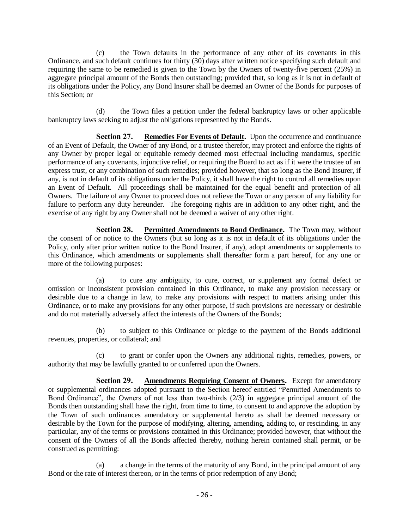(c) the Town defaults in the performance of any other of its covenants in this Ordinance, and such default continues for thirty (30) days after written notice specifying such default and requiring the same to be remedied is given to the Town by the Owners of twenty-five percent (25%) in aggregate principal amount of the Bonds then outstanding; provided that, so long as it is not in default of its obligations under the Policy, any Bond Insurer shall be deemed an Owner of the Bonds for purposes of this Section; or

(d) the Town files a petition under the federal bankruptcy laws or other applicable bankruptcy laws seeking to adjust the obligations represented by the Bonds.

**Section 27. Remedies For Events of Default.** Upon the occurrence and continuance of an Event of Default, the Owner of any Bond, or a trustee therefor, may protect and enforce the rights of any Owner by proper legal or equitable remedy deemed most effectual including mandamus, specific performance of any covenants, injunctive relief, or requiring the Board to act as if it were the trustee of an express trust, or any combination of such remedies; provided however, that so long as the Bond Insurer, if any, is not in default of its obligations under the Policy, it shall have the right to control all remedies upon an Event of Default. All proceedings shall be maintained for the equal benefit and protection of all Owners. The failure of any Owner to proceed does not relieve the Town or any person of any liability for failure to perform any duty hereunder. The foregoing rights are in addition to any other right, and the exercise of any right by any Owner shall not be deemed a waiver of any other right.

**Section 28.** Permitted Amendments to Bond Ordinance. The Town may, without the consent of or notice to the Owners (but so long as it is not in default of its obligations under the Policy, only after prior written notice to the Bond Insurer, if any), adopt amendments or supplements to this Ordinance, which amendments or supplements shall thereafter form a part hereof, for any one or more of the following purposes:

(a) to cure any ambiguity, to cure, correct, or supplement any formal defect or omission or inconsistent provision contained in this Ordinance, to make any provision necessary or desirable due to a change in law, to make any provisions with respect to matters arising under this Ordinance, or to make any provisions for any other purpose, if such provisions are necessary or desirable and do not materially adversely affect the interests of the Owners of the Bonds;

(b) to subject to this Ordinance or pledge to the payment of the Bonds additional revenues, properties, or collateral; and

(c) to grant or confer upon the Owners any additional rights, remedies, powers, or authority that may be lawfully granted to or conferred upon the Owners.

**Section 29. Amendments Requiring Consent of Owners.** Except for amendatory or supplemental ordinances adopted pursuant to the Section hereof entitled "Permitted Amendments to Bond Ordinance", the Owners of not less than two-thirds (2/3) in aggregate principal amount of the Bonds then outstanding shall have the right, from time to time, to consent to and approve the adoption by the Town of such ordinances amendatory or supplemental hereto as shall be deemed necessary or desirable by the Town for the purpose of modifying, altering, amending, adding to, or rescinding, in any particular, any of the terms or provisions contained in this Ordinance; provided however, that without the consent of the Owners of all the Bonds affected thereby, nothing herein contained shall permit, or be construed as permitting:

(a) a change in the terms of the maturity of any Bond, in the principal amount of any Bond or the rate of interest thereon, or in the terms of prior redemption of any Bond;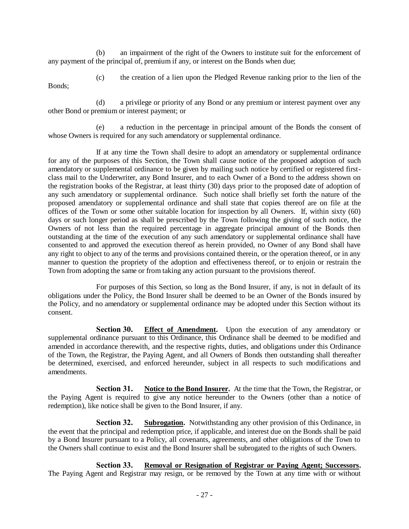(b) an impairment of the right of the Owners to institute suit for the enforcement of any payment of the principal of, premium if any, or interest on the Bonds when due;

Bonds;

(c) the creation of a lien upon the Pledged Revenue ranking prior to the lien of the

(d) a privilege or priority of any Bond or any premium or interest payment over any other Bond or premium or interest payment; or

(e) a reduction in the percentage in principal amount of the Bonds the consent of whose Owners is required for any such amendatory or supplemental ordinance.

If at any time the Town shall desire to adopt an amendatory or supplemental ordinance for any of the purposes of this Section, the Town shall cause notice of the proposed adoption of such amendatory or supplemental ordinance to be given by mailing such notice by certified or registered firstclass mail to the Underwriter, any Bond Insurer, and to each Owner of a Bond to the address shown on the registration books of the Registrar, at least thirty (30) days prior to the proposed date of adoption of any such amendatory or supplemental ordinance. Such notice shall briefly set forth the nature of the proposed amendatory or supplemental ordinance and shall state that copies thereof are on file at the offices of the Town or some other suitable location for inspection by all Owners. If, within sixty (60) days or such longer period as shall be prescribed by the Town following the giving of such notice, the Owners of not less than the required percentage in aggregate principal amount of the Bonds then outstanding at the time of the execution of any such amendatory or supplemental ordinance shall have consented to and approved the execution thereof as herein provided, no Owner of any Bond shall have any right to object to any of the terms and provisions contained therein, or the operation thereof, or in any manner to question the propriety of the adoption and effectiveness thereof, or to enjoin or restrain the Town from adopting the same or from taking any action pursuant to the provisions thereof.

For purposes of this Section, so long as the Bond Insurer, if any, is not in default of its obligations under the Policy, the Bond Insurer shall be deemed to be an Owner of the Bonds insured by the Policy, and no amendatory or supplemental ordinance may be adopted under this Section without its consent.

**Section 30. Effect of Amendment.** Upon the execution of any amendatory or supplemental ordinance pursuant to this Ordinance, this Ordinance shall be deemed to be modified and amended in accordance therewith, and the respective rights, duties, and obligations under this Ordinance of the Town, the Registrar, the Paying Agent, and all Owners of Bonds then outstanding shall thereafter be determined, exercised, and enforced hereunder, subject in all respects to such modifications and amendments.

**Section 31.** Notice to the Bond Insurer. At the time that the Town, the Registrar, or the Paying Agent is required to give any notice hereunder to the Owners (other than a notice of redemption), like notice shall be given to the Bond Insurer, if any.

**Section 32. Subrogation.** Notwithstanding any other provision of this Ordinance, in the event that the principal and redemption price, if applicable, and interest due on the Bonds shall be paid by a Bond Insurer pursuant to a Policy, all covenants, agreements, and other obligations of the Town to the Owners shall continue to exist and the Bond Insurer shall be subrogated to the rights of such Owners.

**Section 33. Removal or Resignation of Registrar or Paying Agent; Successors.** The Paying Agent and Registrar may resign, or be removed by the Town at any time with or without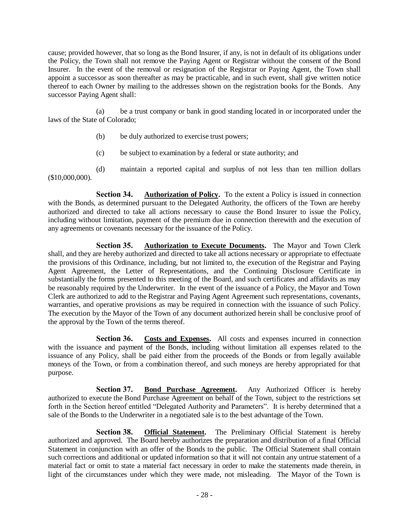cause; provided however, that so long as the Bond Insurer, if any, is not in default of its obligations under the Policy, the Town shall not remove the Paying Agent or Registrar without the consent of the Bond Insurer. In the event of the removal or resignation of the Registrar or Paying Agent, the Town shall appoint a successor as soon thereafter as may be practicable, and in such event, shall give written notice thereof to each Owner by mailing to the addresses shown on the registration books for the Bonds. Any successor Paying Agent shall:

(a) be a trust company or bank in good standing located in or incorporated under the laws of the State of Colorado;

- (b) be duly authorized to exercise trust powers;
- (c) be subject to examination by a federal or state authority; and

(d) maintain a reported capital and surplus of not less than ten million dollars (\$10,000,000).

**Section 34. Authorization of Policy.** To the extent a Policy is issued in connection with the Bonds, as determined pursuant to the Delegated Authority, the officers of the Town are hereby authorized and directed to take all actions necessary to cause the Bond Insurer to issue the Policy, including without limitation, payment of the premium due in connection therewith and the execution of any agreements or covenants necessary for the issuance of the Policy.

**Section 35. Authorization to Execute Documents.** The Mayor and Town Clerk shall, and they are hereby authorized and directed to take all actions necessary or appropriate to effectuate the provisions of this Ordinance, including, but not limited to, the execution of the Registrar and Paying Agent Agreement, the Letter of Representations, and the Continuing Disclosure Certificate in substantially the forms presented to this meeting of the Board, and such certificates and affidavits as may be reasonably required by the Underwriter. In the event of the issuance of a Policy, the Mayor and Town Clerk are authorized to add to the Registrar and Paying Agent Agreement such representations, covenants, warranties, and operative provisions as may be required in connection with the issuance of such Policy. The execution by the Mayor of the Town of any document authorized herein shall be conclusive proof of the approval by the Town of the terms thereof.

**Section 36. Costs and Expenses.** All costs and expenses incurred in connection with the issuance and payment of the Bonds, including without limitation all expenses related to the issuance of any Policy, shall be paid either from the proceeds of the Bonds or from legally available moneys of the Town, or from a combination thereof, and such moneys are hereby appropriated for that purpose.

**Section 37. Bond Purchase Agreement.** Any Authorized Officer is hereby authorized to execute the Bond Purchase Agreement on behalf of the Town, subject to the restrictions set forth in the Section hereof entitled "Delegated Authority and Parameters". It is hereby determined that a sale of the Bonds to the Underwriter in a negotiated sale is to the best advantage of the Town.

**Section 38. Official Statement.** The Preliminary Official Statement is hereby authorized and approved. The Board hereby authorizes the preparation and distribution of a final Official Statement in conjunction with an offer of the Bonds to the public. The Official Statement shall contain such corrections and additional or updated information so that it will not contain any untrue statement of a material fact or omit to state a material fact necessary in order to make the statements made therein, in light of the circumstances under which they were made, not misleading. The Mayor of the Town is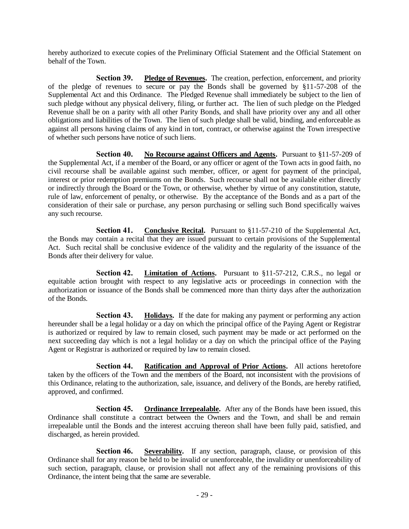hereby authorized to execute copies of the Preliminary Official Statement and the Official Statement on behalf of the Town.

**Section 39. Pledge of Revenues.** The creation, perfection, enforcement, and priority of the pledge of revenues to secure or pay the Bonds shall be governed by §11-57-208 of the Supplemental Act and this Ordinance. The Pledged Revenue shall immediately be subject to the lien of such pledge without any physical delivery, filing, or further act. The lien of such pledge on the Pledged Revenue shall be on a parity with all other Parity Bonds, and shall have priority over any and all other obligations and liabilities of the Town. The lien of such pledge shall be valid, binding, and enforceable as against all persons having claims of any kind in tort, contract, or otherwise against the Town irrespective of whether such persons have notice of such liens.

**Section 40.** No Recourse against Officers and Agents. Pursuant to §11-57-209 of the Supplemental Act, if a member of the Board, or any officer or agent of the Town acts in good faith, no civil recourse shall be available against such member, officer, or agent for payment of the principal, interest or prior redemption premiums on the Bonds. Such recourse shall not be available either directly or indirectly through the Board or the Town, or otherwise, whether by virtue of any constitution, statute, rule of law, enforcement of penalty, or otherwise. By the acceptance of the Bonds and as a part of the consideration of their sale or purchase, any person purchasing or selling such Bond specifically waives any such recourse.

**Section 41. Conclusive Recital.** Pursuant to §11-57-210 of the Supplemental Act, the Bonds may contain a recital that they are issued pursuant to certain provisions of the Supplemental Act. Such recital shall be conclusive evidence of the validity and the regularity of the issuance of the Bonds after their delivery for value.

**Section 42. Limitation of Actions.** Pursuant to §11-57-212, C.R.S., no legal or equitable action brought with respect to any legislative acts or proceedings in connection with the authorization or issuance of the Bonds shall be commenced more than thirty days after the authorization of the Bonds.

**Section 43. Holidays.** If the date for making any payment or performing any action hereunder shall be a legal holiday or a day on which the principal office of the Paying Agent or Registrar is authorized or required by law to remain closed, such payment may be made or act performed on the next succeeding day which is not a legal holiday or a day on which the principal office of the Paying Agent or Registrar is authorized or required by law to remain closed.

**Section 44. Ratification and Approval of Prior Actions.** All actions heretofore taken by the officers of the Town and the members of the Board, not inconsistent with the provisions of this Ordinance, relating to the authorization, sale, issuance, and delivery of the Bonds, are hereby ratified, approved, and confirmed.

**Section 45. Ordinance Irrepealable.** After any of the Bonds have been issued, this Ordinance shall constitute a contract between the Owners and the Town, and shall be and remain irrepealable until the Bonds and the interest accruing thereon shall have been fully paid, satisfied, and discharged, as herein provided.

Section 46. Severability. If any section, paragraph, clause, or provision of this Ordinance shall for any reason be held to be invalid or unenforceable, the invalidity or unenforceability of such section, paragraph, clause, or provision shall not affect any of the remaining provisions of this Ordinance, the intent being that the same are severable.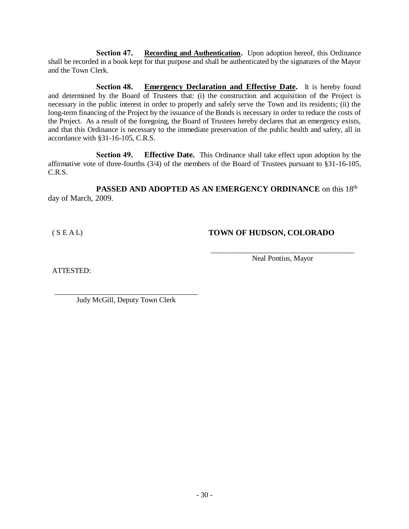**Section 47. Recording and Authentication.** Upon adoption hereof, this Ordinance shall be recorded in a book kept for that purpose and shall be authenticated by the signatures of the Mayor and the Town Clerk.

**Section 48. Emergency Declaration and Effective Date.** It is hereby found and determined by the Board of Trustees that: (i) the construction and acquisition of the Project is necessary in the public interest in order to properly and safely serve the Town and its residents; (ii) the long-term financing of the Project by the issuance of the Bonds is necessary in order to reduce the costs of the Project. As a result of the foregoing, the Board of Trustees hereby declares that an emergency exists, and that this Ordinance is necessary to the immediate preservation of the public health and safety, all in accordance with §31-16-105, C.R.S.

**Section 49. Effective Date.** This Ordinance shall take effect upon adoption by the affirmative vote of three-fourths (3/4) of the members of the Board of Trustees pursuant to §31-16-105, C.R.S.

PASSED AND ADOPTED AS AN EMERGENCY ORDINANCE on this 18<sup>th</sup> day of March, 2009.

# ( S E A L) **TOWN OF HUDSON, COLORADO**

ATTESTED:

\_\_\_\_\_\_\_\_\_\_\_\_\_\_\_\_\_\_\_\_\_\_\_\_\_\_\_\_\_\_\_\_\_\_\_\_\_\_\_ Neal Pontius, Mayor

\_\_\_\_\_\_\_\_\_\_\_\_\_\_\_\_\_\_\_\_\_\_\_\_\_\_\_\_\_\_\_\_\_\_\_\_\_\_\_ Judy McGill, Deputy Town Clerk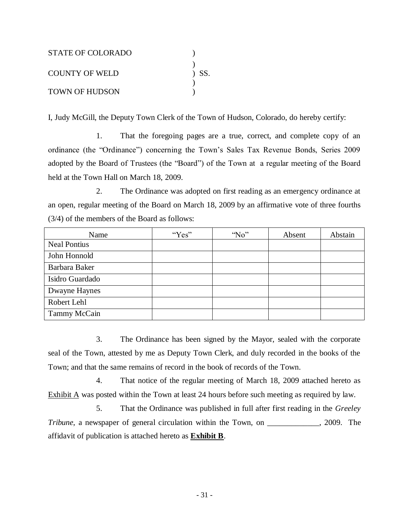| STATE OF COLORADO     |         |
|-----------------------|---------|
|                       |         |
| <b>COUNTY OF WELD</b> | $)$ SS. |
| <b>TOWN OF HUDSON</b> |         |

I, Judy McGill, the Deputy Town Clerk of the Town of Hudson, Colorado, do hereby certify:

1. That the foregoing pages are a true, correct, and complete copy of an ordinance (the "Ordinance") concerning the Town's Sales Tax Revenue Bonds, Series 2009 adopted by the Board of Trustees (the "Board") of the Town at a regular meeting of the Board held at the Town Hall on March 18, 2009.

2. The Ordinance was adopted on first reading as an emergency ordinance at an open, regular meeting of the Board on March 18, 2009 by an affirmative vote of three fourths (3/4) of the members of the Board as follows:

| Name                | "Yes" | $^{\circ}$ No" | Absent | Abstain |
|---------------------|-------|----------------|--------|---------|
| <b>Neal Pontius</b> |       |                |        |         |
| John Honnold        |       |                |        |         |
| Barbara Baker       |       |                |        |         |
| Isidro Guardado     |       |                |        |         |
| Dwayne Haynes       |       |                |        |         |
| Robert Lehl         |       |                |        |         |
| Tammy McCain        |       |                |        |         |

3. The Ordinance has been signed by the Mayor, sealed with the corporate seal of the Town, attested by me as Deputy Town Clerk, and duly recorded in the books of the Town; and that the same remains of record in the book of records of the Town.

4. That notice of the regular meeting of March 18, 2009 attached hereto as Exhibit  $\overline{A}$  was posted within the Town at least 24 hours before such meeting as required by law.

5. That the Ordinance was published in full after first reading in the *Greeley Tribune*, a newspaper of general circulation within the Town, on \_\_\_\_\_\_\_\_\_\_\_, 2009. The affidavit of publication is attached hereto as **Exhibit B**.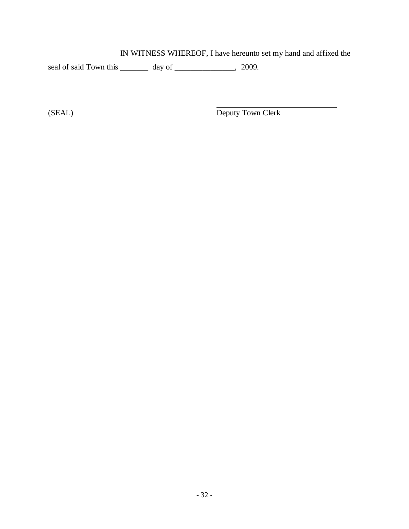IN WITNESS WHEREOF, I have hereunto set my hand and affixed the

seal of said Town this \_\_\_\_\_\_\_\_ day of \_\_\_\_\_\_\_\_\_\_\_\_\_, 2009.

(SEAL) Deputy Town Clerk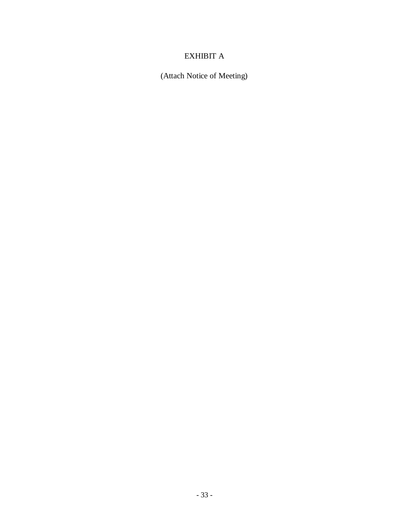# EXHIBIT A

(Attach Notice of Meeting)